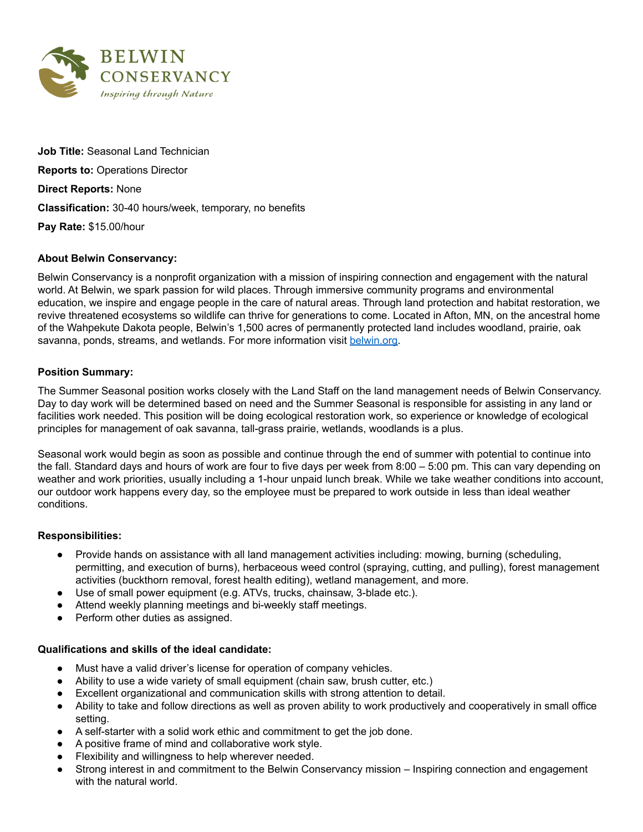

**Job Title:** Seasonal Land Technician **Reports to:** Operations Director **Direct Reports:** None **Classification:** 30-40 hours/week, temporary, no benefits **Pay Rate:** \$15.00/hour

## **About Belwin Conservancy:**

Belwin Conservancy is a nonprofit organization with a mission of inspiring connection and engagement with the natural world. At Belwin, we spark passion for wild places. Through immersive community programs and environmental education, we inspire and engage people in the care of natural areas. Through land protection and habitat restoration, we revive threatened ecosystems so wildlife can thrive for generations to come. Located in Afton, MN, on the ancestral home of the Wahpekute Dakota people, Belwin's 1,500 acres of permanently protected land includes woodland, prairie, oak savanna, ponds, streams, and wetlands. For more information visit [belwin.org.](http://www.belwin.org/)

## **Position Summary:**

The Summer Seasonal position works closely with the Land Staff on the land management needs of Belwin Conservancy. Day to day work will be determined based on need and the Summer Seasonal is responsible for assisting in any land or facilities work needed. This position will be doing ecological restoration work, so experience or knowledge of ecological principles for management of oak savanna, tall-grass prairie, wetlands, woodlands is a plus.

Seasonal work would begin as soon as possible and continue through the end of summer with potential to continue into the fall. Standard days and hours of work are four to five days per week from 8:00 – 5:00 pm. This can vary depending on weather and work priorities, usually including a 1-hour unpaid lunch break. While we take weather conditions into account, our outdoor work happens every day, so the employee must be prepared to work outside in less than ideal weather conditions.

#### **Responsibilities:**

- Provide hands on assistance with all land management activities including: mowing, burning (scheduling, permitting, and execution of burns), herbaceous weed control (spraying, cutting, and pulling), forest management activities (buckthorn removal, forest health editing), wetland management, and more.
- Use of small power equipment (e.g. ATVs, trucks, chainsaw, 3-blade etc.).
- Attend weekly planning meetings and bi-weekly staff meetings.
- Perform other duties as assigned.

#### **Qualifications and skills of the ideal candidate:**

- Must have a valid driver's license for operation of company vehicles.
- Ability to use a wide variety of small equipment (chain saw, brush cutter, etc.)
- Excellent organizational and communication skills with strong attention to detail.
- Ability to take and follow directions as well as proven ability to work productively and cooperatively in small office setting.
- A self-starter with a solid work ethic and commitment to get the job done.
- A positive frame of mind and collaborative work style.
- Flexibility and willingness to help wherever needed.
- Strong interest in and commitment to the Belwin Conservancy mission Inspiring connection and engagement with the natural world.